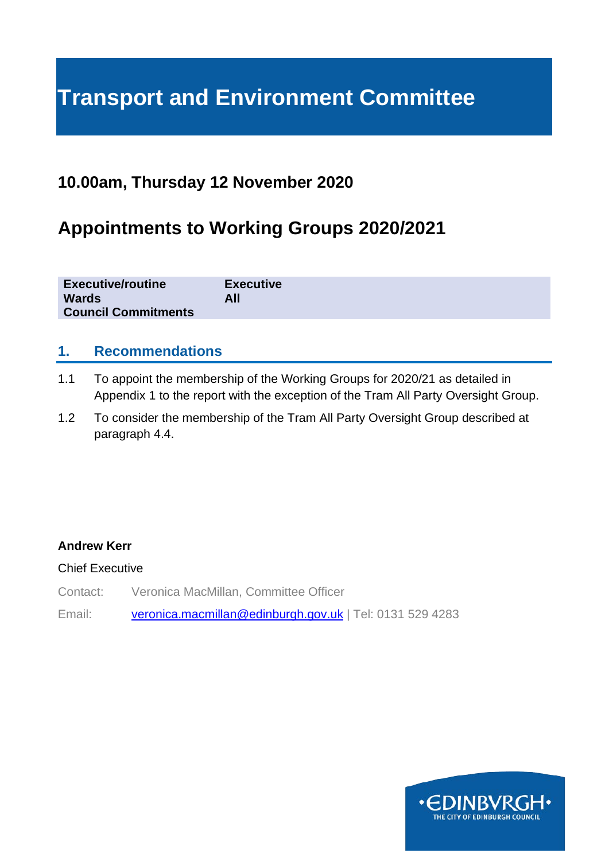# **Transport and Environment Committee**

### **10.00am, Thursday 12 November 2020**

## **Appointments to Working Groups 2020/2021**

| <b>Executive/routine</b>   | <b>Executive</b> |
|----------------------------|------------------|
| <b>Wards</b>               | All              |
| <b>Council Commitments</b> |                  |

#### **1. Recommendations**

- 1.1 To appoint the membership of the Working Groups for 2020/21 as detailed in Appendix 1 to the report with the exception of the Tram All Party Oversight Group.
- 1.2 To consider the membership of the Tram All Party Oversight Group described at paragraph 4.4.

#### **Andrew Kerr**

#### Chief Executive

- Contact: Veronica MacMillan, Committee Officer
- Email: [veronica.macmillan@edinburgh.gov.uk](mailto:veronica.macmillan@edinburgh.gov.uk) | Tel: 0131 529 4283

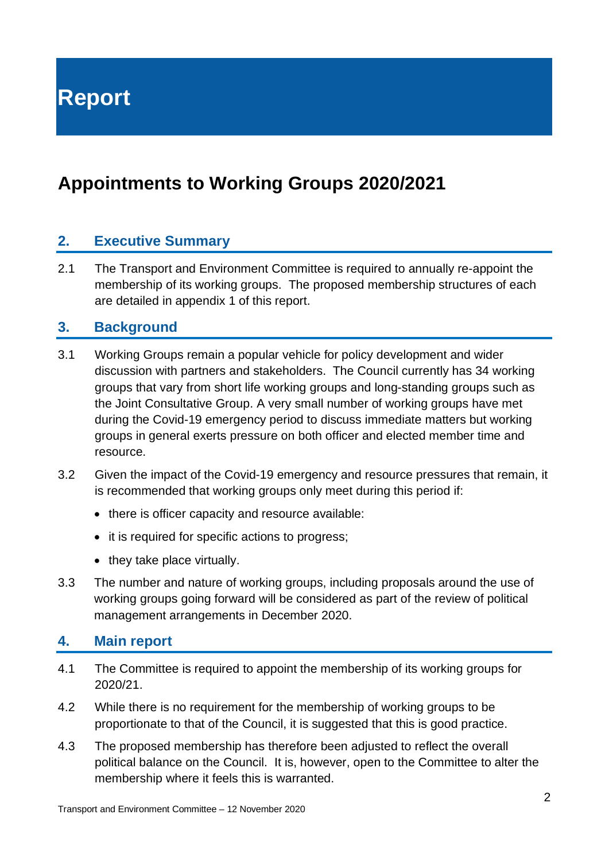**Report**

## **Appointments to Working Groups 2020/2021**

#### **2. Executive Summary**

2.1 The Transport and Environment Committee is required to annually re-appoint the membership of its working groups. The proposed membership structures of each are detailed in appendix 1 of this report.

#### **3. Background**

- 3.1 Working Groups remain a popular vehicle for policy development and wider discussion with partners and stakeholders. The Council currently has 34 working groups that vary from short life working groups and long-standing groups such as the Joint Consultative Group. A very small number of working groups have met during the Covid-19 emergency period to discuss immediate matters but working groups in general exerts pressure on both officer and elected member time and resource.
- 3.2 Given the impact of the Covid-19 emergency and resource pressures that remain, it is recommended that working groups only meet during this period if:
	- there is officer capacity and resource available:
	- it is required for specific actions to progress;
	- they take place virtually.
- 3.3 The number and nature of working groups, including proposals around the use of working groups going forward will be considered as part of the review of political management arrangements in December 2020.

#### **4. Main report**

- 4.1 The Committee is required to appoint the membership of its working groups for 2020/21.
- 4.2 While there is no requirement for the membership of working groups to be proportionate to that of the Council, it is suggested that this is good practice.
- 4.3 The proposed membership has therefore been adjusted to reflect the overall political balance on the Council. It is, however, open to the Committee to alter the membership where it feels this is warranted.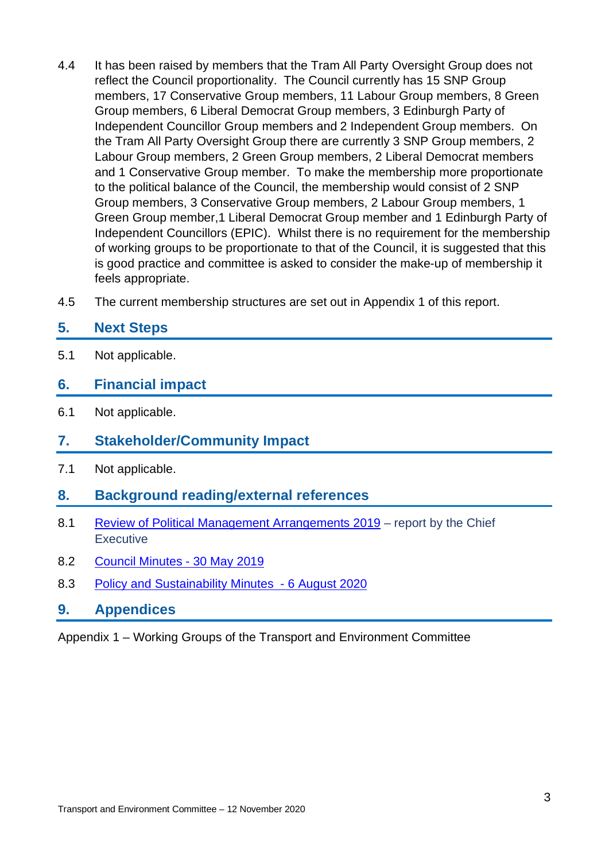- 4.4 It has been raised by members that the Tram All Party Oversight Group does not reflect the Council proportionality. The Council currently has 15 SNP Group members, 17 Conservative Group members, 11 Labour Group members, 8 Green Group members, 6 Liberal Democrat Group members, 3 Edinburgh Party of Independent Councillor Group members and 2 Independent Group members. On the Tram All Party Oversight Group there are currently 3 SNP Group members, 2 Labour Group members, 2 Green Group members, 2 Liberal Democrat members and 1 Conservative Group member. To make the membership more proportionate to the political balance of the Council, the membership would consist of 2 SNP Group members, 3 Conservative Group members, 2 Labour Group members, 1 Green Group member,1 Liberal Democrat Group member and 1 Edinburgh Party of Independent Councillors (EPIC). Whilst there is no requirement for the membership of working groups to be proportionate to that of the Council, it is suggested that this is good practice and committee is asked to consider the make-up of membership it feels appropriate.
- 4.5 The current membership structures are set out in Appendix 1 of this report.

#### **5. Next Steps**

5.1 Not applicable.

#### **6. Financial impact**

- 6.1 Not applicable.
- **7. Stakeholder/Community Impact**
- 7.1 Not applicable.
- **8. Background reading/external references**
- 8.1 [Review of Political Management Arrangements 2019](https://democracy.edinburgh.gov.uk/Data/City%20of%20Edinburgh%20Council/20190530/Agenda/item_81_-_review_of_political_management_arrangements_2019docx.pdf) report by the Chief **Executive**
- 8.2 [Council Minutes -](https://democracy.edinburgh.gov.uk/Data/City%20of%20Edinburgh%20Council/20190627/Agenda/item_41_-_minute_of_30_may_2019.pdf) 30 May 2019
- 8.3 [Policy and Sustainability Minutes -](https://democracy.edinburgh.gov.uk/documents/s25171/Item%204.1%20-%20Minute%20of%206%20August%202020.pdf) 6 August 2020
- **9. Appendices**

Appendix 1 – Working Groups of the Transport and Environment Committee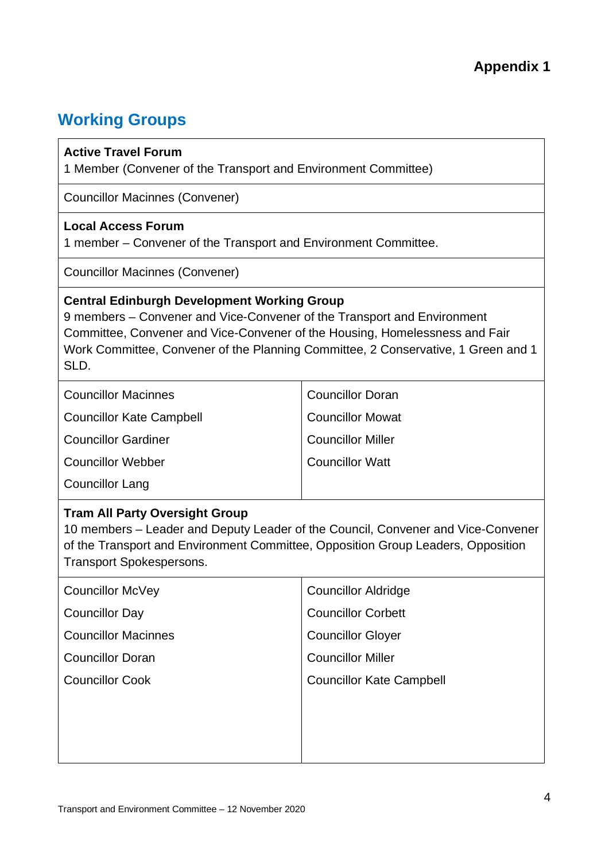### **Working Groups**

#### **Active Travel Forum**

1 Member (Convener of the Transport and Environment Committee)

Councillor Macinnes (Convener)

#### **Local Access Forum**

1 member – Convener of the Transport and Environment Committee.

Councillor Macinnes (Convener)

#### **Central Edinburgh Development Working Group**

9 members – Convener and Vice-Convener of the Transport and Environment Committee, Convener and Vice-Convener of the Housing, Homelessness and Fair Work Committee, Convener of the Planning Committee, 2 Conservative, 1 Green and 1 SLD.

| <b>Councillor Macinnes</b>      | <b>Councillor Doran</b>  |
|---------------------------------|--------------------------|
| <b>Councillor Kate Campbell</b> | <b>Councillor Mowat</b>  |
| <b>Councillor Gardiner</b>      | <b>Councillor Miller</b> |
| <b>Councillor Webber</b>        | <b>Councillor Watt</b>   |
| <b>Councillor Lang</b>          |                          |

#### **Tram All Party Oversight Group**

10 members – Leader and Deputy Leader of the Council, Convener and Vice-Convener of the Transport and Environment Committee, Opposition Group Leaders, Opposition Transport Spokespersons.

| <b>Councillor McVey</b>    | <b>Councillor Aldridge</b>      |
|----------------------------|---------------------------------|
| Councillor Day             | <b>Councillor Corbett</b>       |
| <b>Councillor Macinnes</b> | <b>Councillor Gloyer</b>        |
| <b>Councillor Doran</b>    | <b>Councillor Miller</b>        |
| <b>Councillor Cook</b>     | <b>Councillor Kate Campbell</b> |
|                            |                                 |
|                            |                                 |
|                            |                                 |